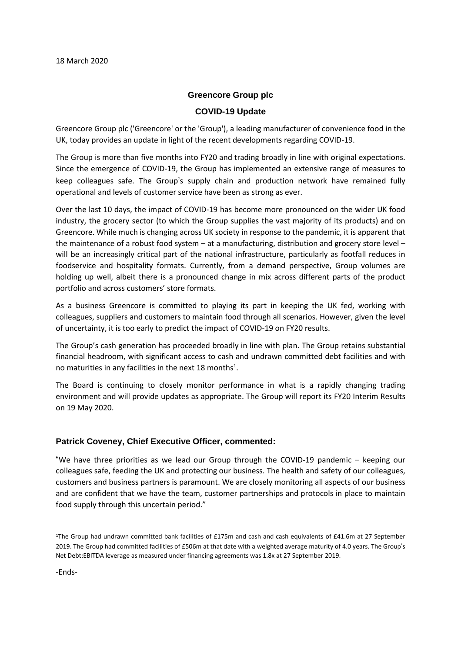#### **Greencore Group plc**

#### **COVID-19 Update**

Greencore Group plc ('Greencore' or the 'Group'), a leading manufacturer of convenience food in the UK, today provides an update in light of the recent developments regarding COVID-19.

The Group is more than five months into FY20 and trading broadly in line with original expectations. Since the emergence of COVID-19, the Group has implemented an extensive range of measures to keep colleagues safe. The Group's supply chain and production network have remained fully operational and levels of customer service have been as strong as ever.

Over the last 10 days, the impact of COVID-19 has become more pronounced on the wider UK food industry, the grocery sector (to which the Group supplies the vast majority of its products) and on Greencore. While much is changing across UK society in response to the pandemic, it is apparent that the maintenance of a robust food system – at a manufacturing, distribution and grocery store level – will be an increasingly critical part of the national infrastructure, particularly as footfall reduces in foodservice and hospitality formats. Currently, from a demand perspective, Group volumes are holding up well, albeit there is a pronounced change in mix across different parts of the product portfolio and across customers' store formats.

As a business Greencore is committed to playing its part in keeping the UK fed, working with colleagues, suppliers and customers to maintain food through all scenarios. However, given the level of uncertainty, it is too early to predict the impact of COVID-19 on FY20 results.

The Group's cash generation has proceeded broadly in line with plan. The Group retains substantial financial headroom, with significant access to cash and undrawn committed debt facilities and with no maturities in any facilities in the next 18 months $^1$ .

The Board is continuing to closely monitor performance in what is a rapidly changing trading environment and will provide updates as appropriate. The Group will report its FY20 Interim Results on 19 May 2020.

## **Patrick Coveney, Chief Executive Officer, commented:**

"We have three priorities as we lead our Group through the COVID-19 pandemic – keeping our colleagues safe, feeding the UK and protecting our business. The health and safety of our colleagues, customers and business partners is paramount. We are closely monitoring all aspects of our business and are confident that we have the team, customer partnerships and protocols in place to maintain food supply through this uncertain period."

<sup>1</sup>The Group had undrawn committed bank facilities of £175m and cash and cash equivalents of £41.6m at 27 September 2019. The Group had committed facilities of £506m at that date with a weighted average maturity of 4.0 years. The Group's Net Debt:EBITDA leverage as measured under financing agreements was 1.8x at 27 September 2019.

-Ends-